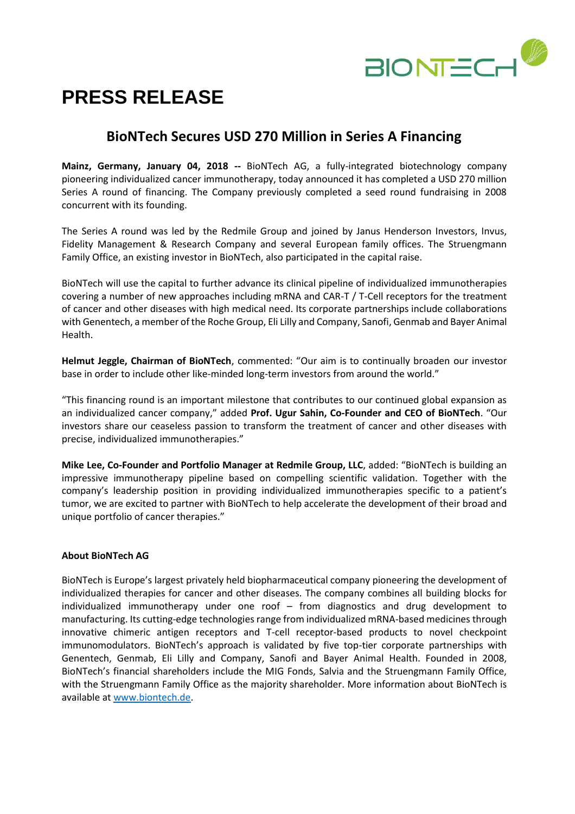

# **PRESS RELEASE**

# **BioNTech Secures USD 270 Million in Series A Financing**

**Mainz, Germany, January 04, 2018 --** BioNTech AG, a fully-integrated biotechnology company pioneering individualized cancer immunotherapy, today announced it has completed a USD 270 million Series A round of financing. The Company previously completed a seed round fundraising in 2008 concurrent with its founding.

The Series A round was led by the Redmile Group and joined by Janus Henderson Investors, Invus, Fidelity Management & Research Company and several European family offices. The Struengmann Family Office, an existing investor in BioNTech, also participated in the capital raise.

BioNTech will use the capital to further advance its clinical pipeline of individualized immunotherapies covering a number of new approaches including mRNA and CAR-T / T-Cell receptors for the treatment of cancer and other diseases with high medical need. Its corporate partnerships include collaborations with Genentech, a member of the Roche Group, Eli Lilly and Company, Sanofi, Genmab and Bayer Animal Health.

**Helmut Jeggle, Chairman of BioNTech**, commented: "Our aim is to continually broaden our investor base in order to include other like-minded long-term investors from around the world."

"This financing round is an important milestone that contributes to our continued global expansion as an individualized cancer company," added **Prof. Ugur Sahin, Co-Founder and CEO of BioNTech**. "Our investors share our ceaseless passion to transform the treatment of cancer and other diseases with precise, individualized immunotherapies."

**Mike Lee, Co-Founder and Portfolio Manager at Redmile Group, LLC**, added: "BioNTech is building an impressive immunotherapy pipeline based on compelling scientific validation. Together with the company's leadership position in providing individualized immunotherapies specific to a patient's tumor, we are excited to partner with BioNTech to help accelerate the development of their broad and unique portfolio of cancer therapies."

#### **About BioNTech AG**

BioNTech is Europe's largest privately held biopharmaceutical company pioneering the development of individualized therapies for cancer and other diseases. The company combines all building blocks for individualized immunotherapy under one roof – from diagnostics and drug development to manufacturing. Its cutting-edge technologies range from individualized mRNA-based medicines through innovative chimeric antigen receptors and T-cell receptor-based products to novel checkpoint immunomodulators. BioNTech's approach is validated by five top-tier corporate partnerships with Genentech, Genmab, Eli Lilly and Company, Sanofi and Bayer Animal Health. Founded in 2008, BioNTech's financial shareholders include the MIG Fonds, Salvia and the Struengmann Family Office, with the Struengmann Family Office as the majority shareholder. More information about BioNTech is available at [www.biontech.de.](https://www.globenewswire.com/Tracker?data=LZ1JQgS9zwioV5UFgeUowKb7LxYFSCgfSsFOoHfh339YaIXTaS84ScbDtMVJyR1Vj0s6w0HgdpTTdBbSQScZ-A==)